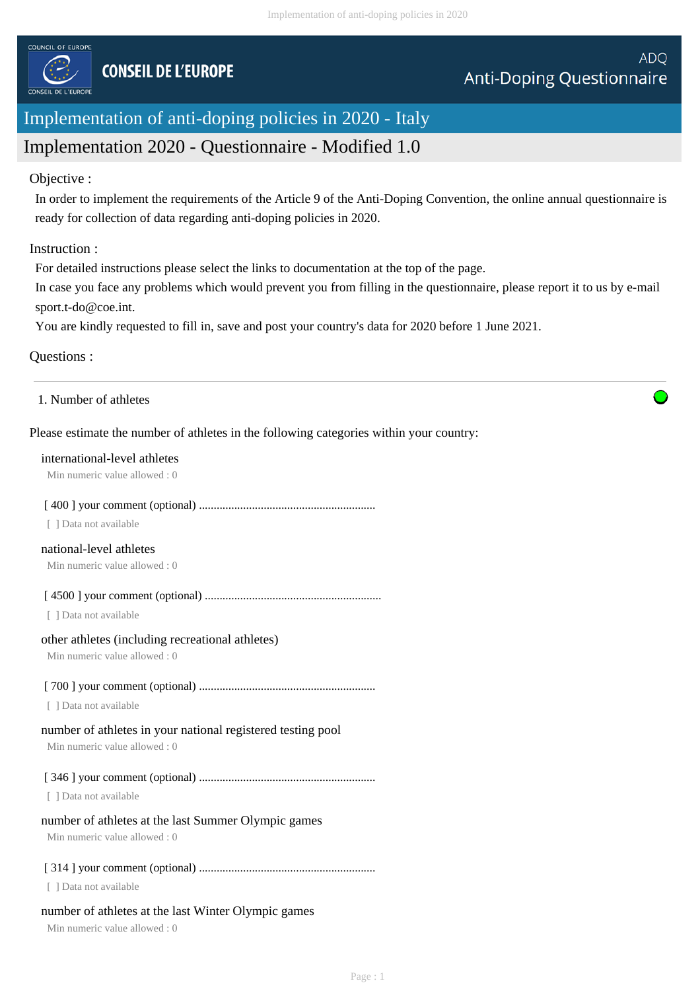

# Implementation of anti-doping policies in 2020 - Italy

# Implementation 2020 - Questionnaire - Modified 1.0

## Objective :

In order to implement the requirements of the Article 9 of the Anti-Doping Convention, the online annual questionnaire is ready for collection of data regarding anti-doping policies in 2020.

## Instruction :

For detailed instructions please select the links to documentation at the top of the page.

In case you face any problems which would prevent you from filling in the questionnaire, please report it to us by e-mail sport.t-do@coe.int.

You are kindly requested to fill in, save and post your country's data for 2020 before 1 June 2021.

## Questions :

1. Number of athletes

## Please estimate the number of athletes in the following categories within your country:

### international-level athletes

Min numeric value allowed : 0

## [ 400 ] your comment (optional) ............................................................

[ ] Data not available

## national-level athletes

Min numeric value allowed : 0

[ 4500 ] your comment (optional) ............................................................

[ ] Data not available

## other athletes (including recreational athletes)

Min numeric value allowed : 0

## [ 700 ] your comment (optional) ............................................................

[ ] Data not available

## number of athletes in your national registered testing pool

Min numeric value allowed : 0

## [ 346 ] your comment (optional) ............................................................

[ ] Data not available

## number of athletes at the last Summer Olympic games

Min numeric value allowed : 0

## [ 314 ] your comment (optional) ............................................................

[ ] Data not available

## number of athletes at the last Winter Olympic games

Min numeric value allowed : 0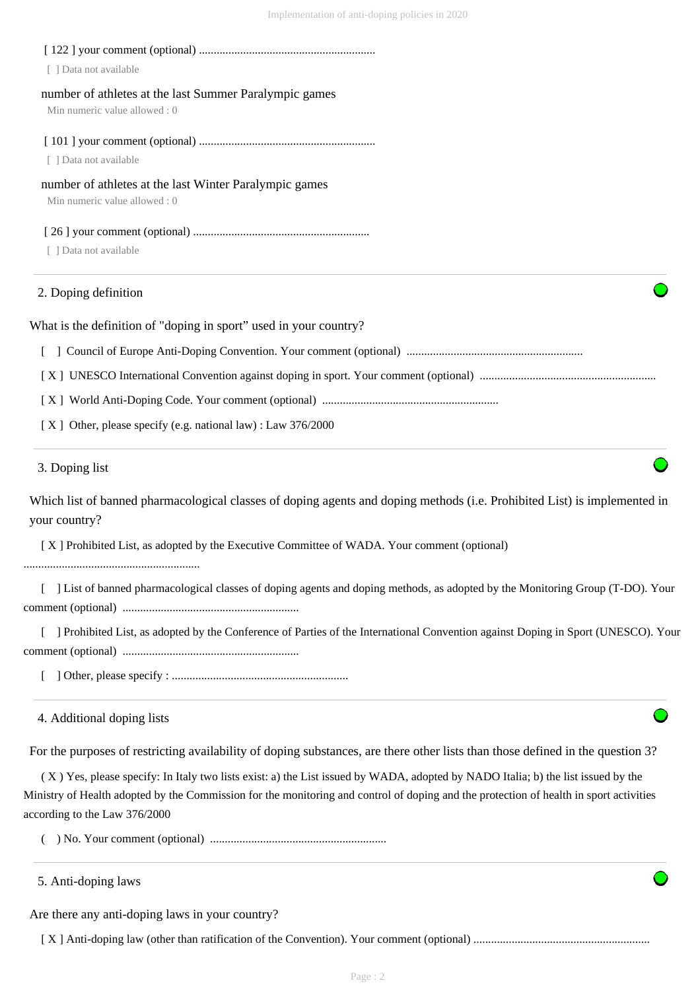| 2. Doping definition<br>What is the definition of "doping in sport" used in your country? |  |
|-------------------------------------------------------------------------------------------|--|
| Data not available                                                                        |  |
|                                                                                           |  |
| number of athletes at the last Winter Paralympic games<br>Min numeric value allowed : 0   |  |
| [ ] Data not available                                                                    |  |
|                                                                                           |  |
| number of athletes at the last Summer Paralympic games<br>Min numeric value allowed : 0   |  |
| Data not available                                                                        |  |
|                                                                                           |  |

[ ] Council of Europe Anti-Doping Convention. Your comment (optional) ............................................................

- 
- [ X ] World Anti-Doping Code. Your comment (optional) ............................................................
- [X] Other, please specify (e.g. national law) : Law 376/2000

#### 3. Doping list

Which list of banned pharmacological classes of doping agents and doping methods (i.e. Prohibited List) is implemented in your country?

[ X ] UNESCO International Convention against doping in sport. Your comment (optional) ............................................................

[ X ] Prohibited List, as adopted by the Executive Committee of WADA. Your comment (optional)

............................................................

 [ ] List of banned pharmacological classes of doping agents and doping methods, as adopted by the Monitoring Group (T-DO). Your comment (optional) ............................................................

[ ] Prohibited List, as adopted by the Conference of Parties of the International Convention against Doping in Sport (UNESCO). Your comment (optional) ............................................................

[ ] Other, please specify : ............................................................

4. Additional doping lists

For the purposes of restricting availability of doping substances, are there other lists than those defined in the question 3?

 ( X ) Yes, please specify: In Italy two lists exist: a) the List issued by WADA, adopted by NADO Italia; b) the list issued by the Ministry of Health adopted by the Commission for the monitoring and control of doping and the protection of health in sport activities according to the Law 376/2000

( ) No. Your comment (optional) ............................................................

5. Anti-doping laws

Are there any anti-doping laws in your country?

[ X ] Anti-doping law (other than ratification of the Convention). Your comment (optional) ............................................................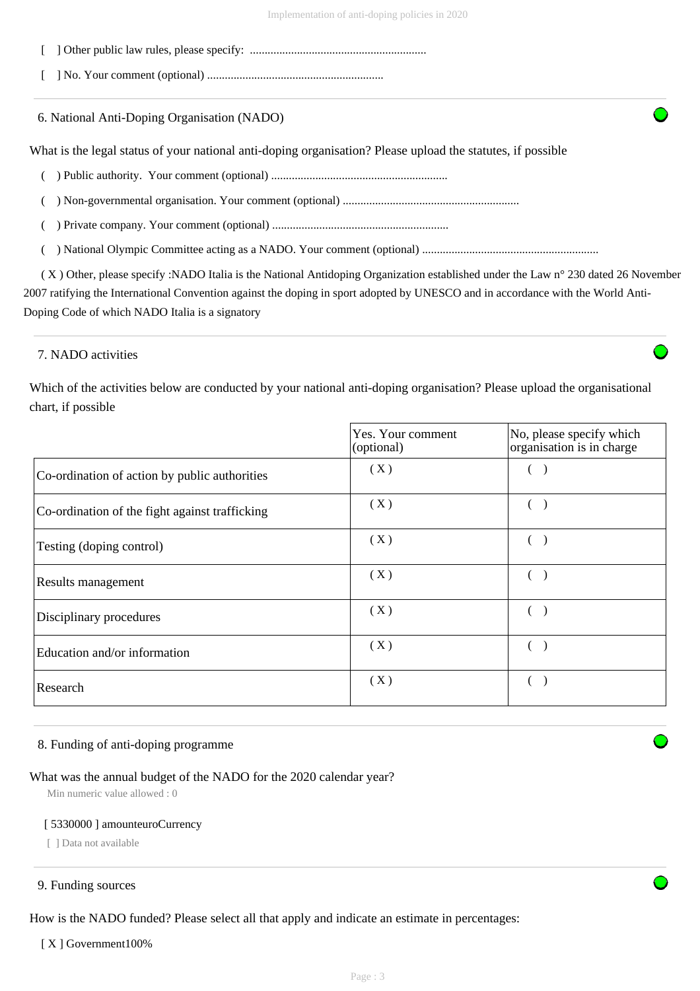- [ ] Other public law rules, please specify: ............................................................
- [ ] No. Your comment (optional) ............................................................

6. National Anti-Doping Organisation (NADO)

What is the legal status of your national anti-doping organisation? Please upload the statutes, if possible

- ( ) Public authority. Your comment (optional) ............................................................
- ( ) Non-governmental organisation. Your comment (optional) ............................................................

( ) Private company. Your comment (optional) ............................................................

( ) National Olympic Committee acting as a NADO. Your comment (optional) ............................................................

 ( X ) Other, please specify :NADO Italia is the National Antidoping Organization established under the Law n° 230 dated 26 November 2007 ratifying the International Convention against the doping in sport adopted by UNESCO and in accordance with the World Anti-Doping Code of which NADO Italia is a signatory

### 7. NADO activities

Which of the activities below are conducted by your national anti-doping organisation? Please upload the organisational chart, if possible

|                                                | Yes. Your comment<br>(optional) | No, please specify which<br>organisation is in charge |
|------------------------------------------------|---------------------------------|-------------------------------------------------------|
| Co-ordination of action by public authorities  | (X)                             |                                                       |
| Co-ordination of the fight against trafficking | (X)                             |                                                       |
| Testing (doping control)                       | (X)                             |                                                       |
| Results management                             | (X)                             |                                                       |
| Disciplinary procedures                        | (X)                             |                                                       |
| Education and/or information                   | (X)                             |                                                       |
| Research                                       | (X)                             |                                                       |

#### 8. Funding of anti-doping programme

## What was the annual budget of the NADO for the 2020 calendar year?

Min numeric value allowed : 0

#### [ 5330000 ] amounteuroCurrency

[ ] Data not available

#### 9. Funding sources

How is the NADO funded? Please select all that apply and indicate an estimate in percentages:

[ X ] Government100%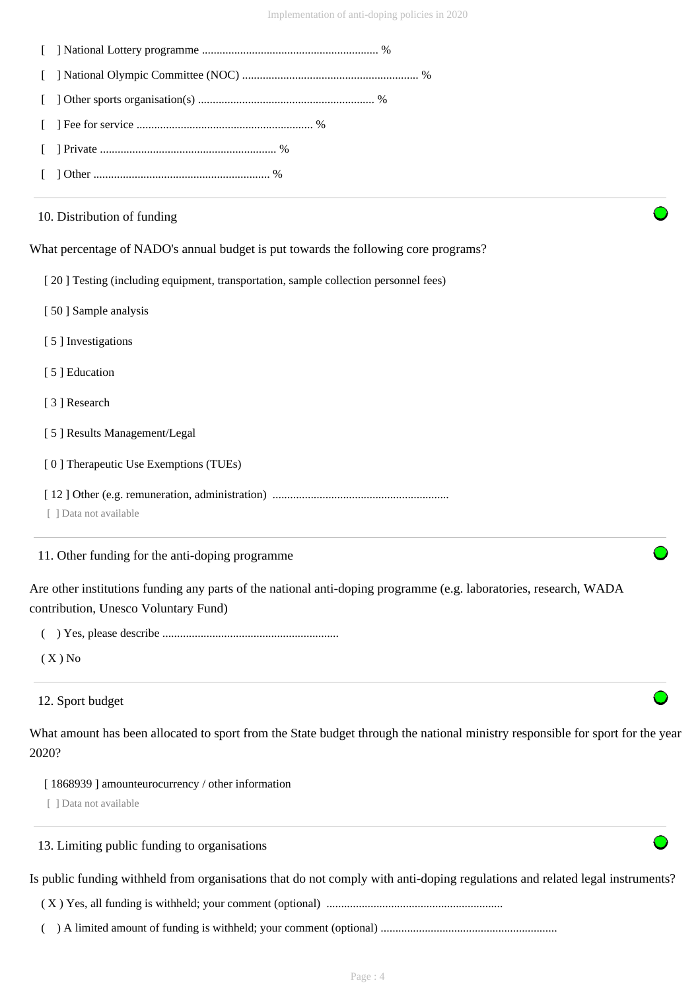| Is public funding withheld from organisations that do not comply with anti-doping regulations and related legal instruments?                              |
|-----------------------------------------------------------------------------------------------------------------------------------------------------------|
| 13. Limiting public funding to organisations                                                                                                              |
| [1868939] amounteurocurrency / other information<br>[ ] Data not available                                                                                |
| What amount has been allocated to sport from the State budget through the national ministry responsible for sport for the year<br>2020?                   |
| 12. Sport budget                                                                                                                                          |
| $(X)$ No                                                                                                                                                  |
|                                                                                                                                                           |
| Are other institutions funding any parts of the national anti-doping programme (e.g. laboratories, research, WADA<br>contribution, Unesco Voluntary Fund) |
| 11. Other funding for the anti-doping programme                                                                                                           |
| [ ] Data not available                                                                                                                                    |
| [0] Therapeutic Use Exemptions (TUEs)                                                                                                                     |
| [5] Results Management/Legal                                                                                                                              |
| [3] Research                                                                                                                                              |
| [5] Education                                                                                                                                             |
| [5] Investigations                                                                                                                                        |
| [50] Sample analysis                                                                                                                                      |
| [20] Testing (including equipment, transportation, sample collection personnel fees)                                                                      |
| What percentage of NADO's annual budget is put towards the following core programs?                                                                       |
| 10. Distribution of funding                                                                                                                               |
|                                                                                                                                                           |
|                                                                                                                                                           |
|                                                                                                                                                           |
|                                                                                                                                                           |
|                                                                                                                                                           |
|                                                                                                                                                           |

( X ) Yes, all funding is withheld; your comment (optional) ............................................................

( ) A limited amount of funding is withheld; your comment (optional) ............................................................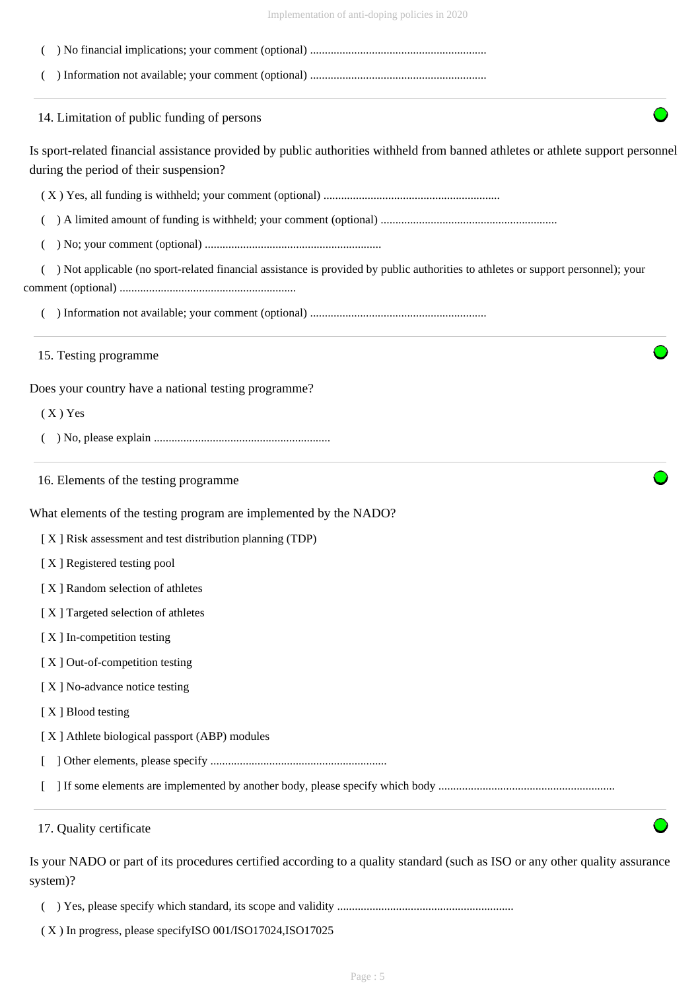| Implementation of anti-doping policies in 2020 |  |  |
|------------------------------------------------|--|--|
|                                                |  |  |

| 14. Limitation of public funding of persons                                                                                                                               |
|---------------------------------------------------------------------------------------------------------------------------------------------------------------------------|
| Is sport-related financial assistance provided by public authorities withheld from banned athletes or athlete support personnel<br>during the period of their suspension? |
|                                                                                                                                                                           |
|                                                                                                                                                                           |
|                                                                                                                                                                           |
| ) Not applicable (no sport-related financial assistance is provided by public authorities to athletes or support personnel); your                                         |
|                                                                                                                                                                           |
| 15. Testing programme                                                                                                                                                     |
| Does your country have a national testing programme?                                                                                                                      |
| $(X)$ Yes                                                                                                                                                                 |
|                                                                                                                                                                           |
| 16. Elements of the testing programme                                                                                                                                     |
| What elements of the testing program are implemented by the NADO?                                                                                                         |
| [X] Risk assessment and test distribution planning (TDP)                                                                                                                  |
| [X] Registered testing pool                                                                                                                                               |
| [X] Random selection of athletes                                                                                                                                          |
| [X] Targeted selection of athletes                                                                                                                                        |
| [X] In-competition testing                                                                                                                                                |
| [X] Out-of-competition testing                                                                                                                                            |
| [X] No-advance notice testing                                                                                                                                             |
| [X] Blood testing                                                                                                                                                         |
| [X] Athlete biological passport (ABP) modules                                                                                                                             |
|                                                                                                                                                                           |
|                                                                                                                                                                           |
| 17. Quality certificate                                                                                                                                                   |
| Is your NADO or part of its procedures certified according to a quality standard (such as ISO or any other quality assurance<br>system)?                                  |

( ) Yes, please specify which standard, its scope and validity ............................................................

( X ) In progress, please specifyISO 001/ISO17024,ISO17025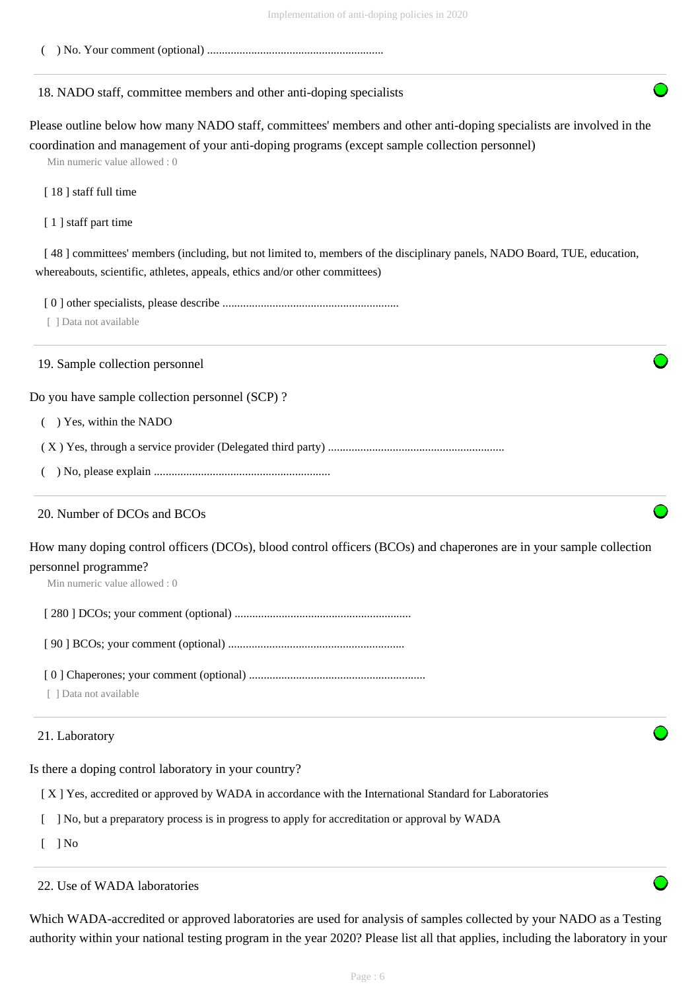( ) No. Your comment (optional) ............................................................

## 18. NADO staff, committee members and other anti-doping specialists

Please outline below how many NADO staff, committees' members and other anti-doping specialists are involved in the coordination and management of your anti-doping programs (except sample collection personnel)

Min numeric value allowed : 0

[ 18 ] staff full time

[1] staff part time

[48] committees' members (including, but not limited to, members of the disciplinary panels, NADO Board, TUE, education, whereabouts, scientific, athletes, appeals, ethics and/or other committees)

[ 0 ] other specialists, please describe ............................................................

[ ] Data not available

19. Sample collection personnel

Do you have sample collection personnel (SCP) ?

( ) Yes, within the NADO

( X ) Yes, through a service provider (Delegated third party) ............................................................

( ) No, please explain ............................................................

## 20. Number of DCOs and BCOs

How many doping control officers (DCOs), blood control officers (BCOs) and chaperones are in your sample collection personnel programme?

Min numeric value allowed : 0

[ 280 ] DCOs; your comment (optional) ............................................................

[ 90 ] BCOs; your comment (optional) ............................................................

[ 0 ] Chaperones; your comment (optional) ............................................................

[ ] Data not available

## 21. Laboratory

Is there a doping control laboratory in your country?

[ X ] Yes, accredited or approved by WADA in accordance with the International Standard for Laboratories

[ ] No, but a preparatory process is in progress to apply for accreditation or approval by WADA

 $\lceil$   $\rceil$  No

22. Use of WADA laboratories

Which WADA-accredited or approved laboratories are used for analysis of samples collected by your NADO as a Testing authority within your national testing program in the year 2020? Please list all that applies, including the laboratory in your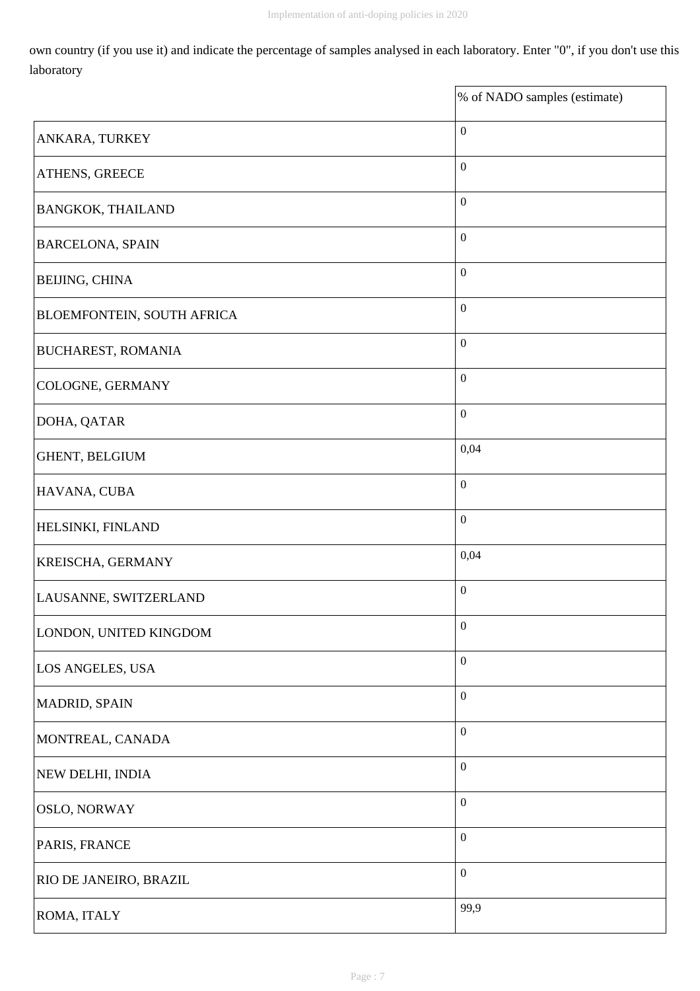own country (if you use it) and indicate the percentage of samples analysed in each laboratory. Enter "0", if you don't use this laboratory

|                            | % of NADO samples (estimate) |
|----------------------------|------------------------------|
| ANKARA, TURKEY             | $\boldsymbol{0}$             |
| ATHENS, GREECE             | $\boldsymbol{0}$             |
| <b>BANGKOK, THAILAND</b>   | $\boldsymbol{0}$             |
| <b>BARCELONA, SPAIN</b>    | $\boldsymbol{0}$             |
| <b>BEIJING, CHINA</b>      | $\boldsymbol{0}$             |
| BLOEMFONTEIN, SOUTH AFRICA | $\boldsymbol{0}$             |
| <b>BUCHAREST, ROMANIA</b>  | $\boldsymbol{0}$             |
| COLOGNE, GERMANY           | $\boldsymbol{0}$             |
| DOHA, QATAR                | $\boldsymbol{0}$             |
| GHENT, BELGIUM             | 0,04                         |
| HAVANA, CUBA               | $\boldsymbol{0}$             |
| HELSINKI, FINLAND          | $\boldsymbol{0}$             |
| KREISCHA, GERMANY          | 0,04                         |
| LAUSANNE, SWITZERLAND      | $\boldsymbol{0}$             |
| LONDON, UNITED KINGDOM     | $\boldsymbol{0}$             |
| LOS ANGELES, USA           | $\boldsymbol{0}$             |
| MADRID, SPAIN              | $\boldsymbol{0}$             |
| MONTREAL, CANADA           | $\boldsymbol{0}$             |
| NEW DELHI, INDIA           | $\boldsymbol{0}$             |
| <b>OSLO, NORWAY</b>        | $\boldsymbol{0}$             |
| PARIS, FRANCE              | $\boldsymbol{0}$             |
| RIO DE JANEIRO, BRAZIL     | $\boldsymbol{0}$             |
| ROMA, ITALY                | 99,9                         |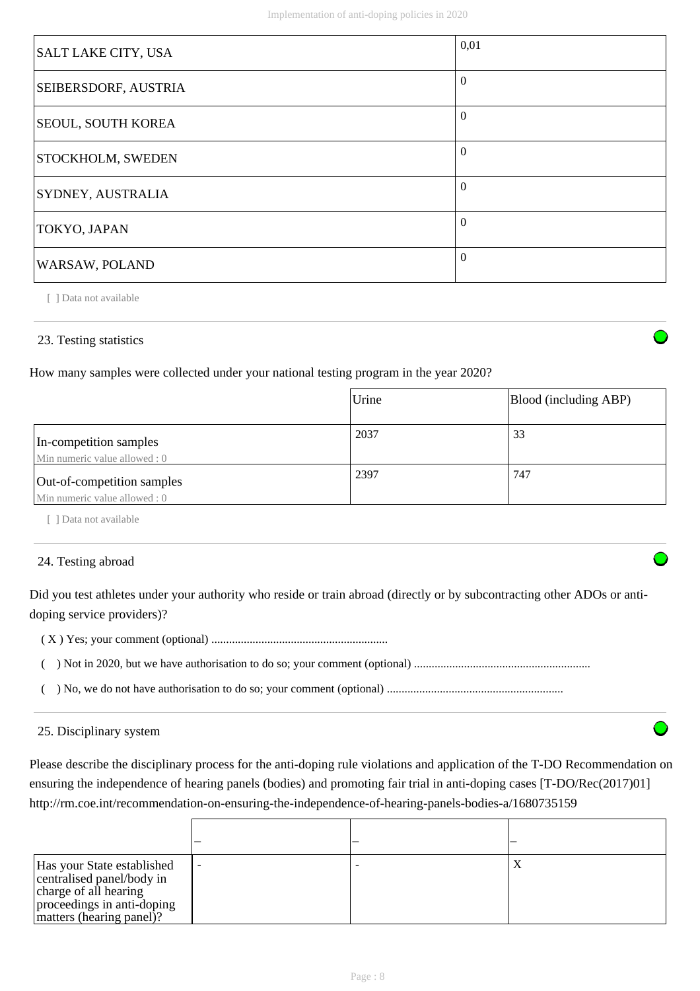| SALT LAKE CITY, USA  | 0,01     |
|----------------------|----------|
| SEIBERSDORF, AUSTRIA | $\Omega$ |
| SEOUL, SOUTH KOREA   | $\Omega$ |
| STOCKHOLM, SWEDEN    | $\Omega$ |
| SYDNEY, AUSTRALIA    | $\theta$ |
| TOKYO, JAPAN         | $\Omega$ |
| WARSAW, POLAND       | $\Omega$ |

## 23. Testing statistics

How many samples were collected under your national testing program in the year 2020?

|                                                             | Urine | Blood (including ABP) |
|-------------------------------------------------------------|-------|-----------------------|
| In-competition samples<br>Min numeric value allowed : 0     | 2037  | 33                    |
| Out-of-competition samples<br>Min numeric value allowed : 0 | 2397  | 747                   |

[ ] Data not available

### 24. Testing abroad

Did you test athletes under your authority who reside or train abroad (directly or by subcontracting other ADOs or antidoping service providers)?

( X ) Yes; your comment (optional) ............................................................

( ) Not in 2020, but we have authorisation to do so; your comment (optional) ............................................................

( ) No, we do not have authorisation to do so; your comment (optional) ............................................................

#### 25. Disciplinary system

Please describe the disciplinary process for the anti-doping rule violations and application of the T-DO Recommendation on ensuring the independence of hearing panels (bodies) and promoting fair trial in anti-doping cases [T-DO/Rec(2017)01] http://rm.coe.int/recommendation-on-ensuring-the-independence-of-hearing-panels-bodies-a/1680735159

| Has your State established<br>centralised panel/body in<br>charge of all hearing<br>proceedings in anti-doping<br>matters (hearing panel)? |  | л |
|--------------------------------------------------------------------------------------------------------------------------------------------|--|---|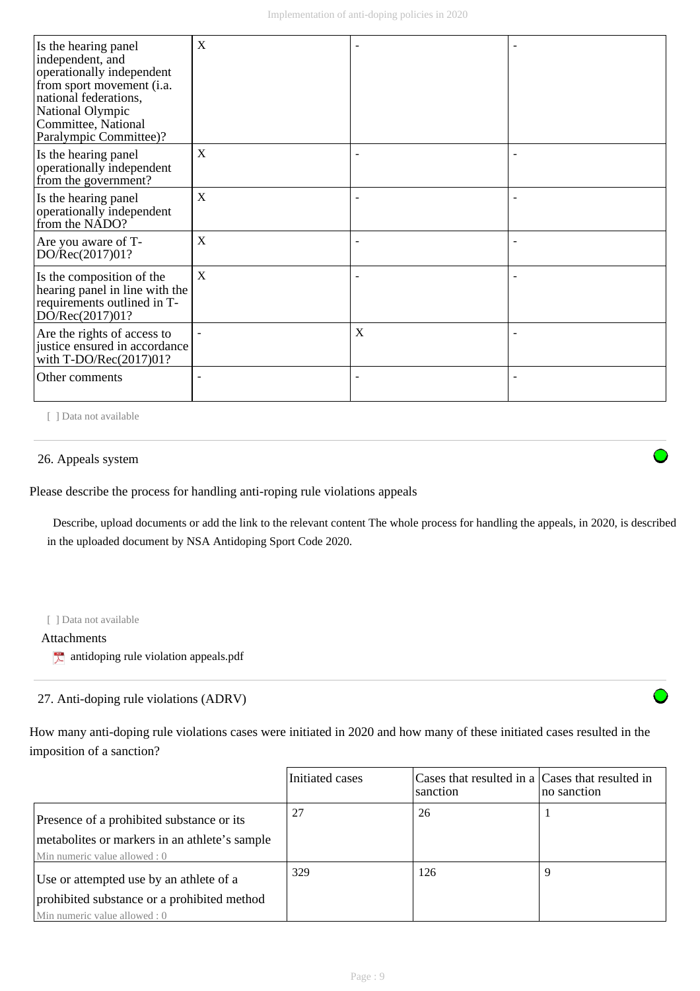| Is the hearing panel<br>independent, and<br>operationally independent<br>from sport movement (i.a.<br>national federations,<br>National Olympic<br>Committee, National<br>Paralympic Committee)? | X |   |  |
|--------------------------------------------------------------------------------------------------------------------------------------------------------------------------------------------------|---|---|--|
| Is the hearing panel<br>operationally independent<br>from the government?                                                                                                                        | X |   |  |
| Is the hearing panel<br>operationally independent<br>from the NADO?                                                                                                                              | X |   |  |
| Are you aware of T-<br>DO/Rec(2017)01?                                                                                                                                                           | X |   |  |
| Is the composition of the<br>hearing panel in line with the<br>requirements outlined in T-<br>DO/Rec(2017)01?                                                                                    | X |   |  |
| Are the rights of access to<br>justice ensured in accordance<br>with $T\text{-DO/Rec}(2017)01?$                                                                                                  |   | X |  |
| Other comments                                                                                                                                                                                   |   |   |  |

#### 26. Appeals system

Please describe the process for handling anti-roping rule violations appeals

 Describe, upload documents or add the link to the relevant content The whole process for handling the appeals, in 2020, is described in the uploaded document by NSA Antidoping Sport Code 2020.

#### [ ] Data not available

#### Attachments

 $\uparrow$  antidoping rule violation appeals.pdf

## 27. Anti-doping rule violations (ADRV)

How many anti-doping rule violations cases were initiated in 2020 and how many of these initiated cases resulted in the imposition of a sanction?

|                                                                                                                             | Initiated cases | Cases that resulted in a Cases that resulted in<br>sanction | no sanction |
|-----------------------------------------------------------------------------------------------------------------------------|-----------------|-------------------------------------------------------------|-------------|
| Presence of a prohibited substance or its<br>metabolites or markers in an athlete's sample<br>Min numeric value allowed : 0 | 27              | 26                                                          |             |
| Use or attempted use by an athlete of a<br>prohibited substance or a prohibited method<br>Min numeric value allowed : 0     | 329             | 126                                                         |             |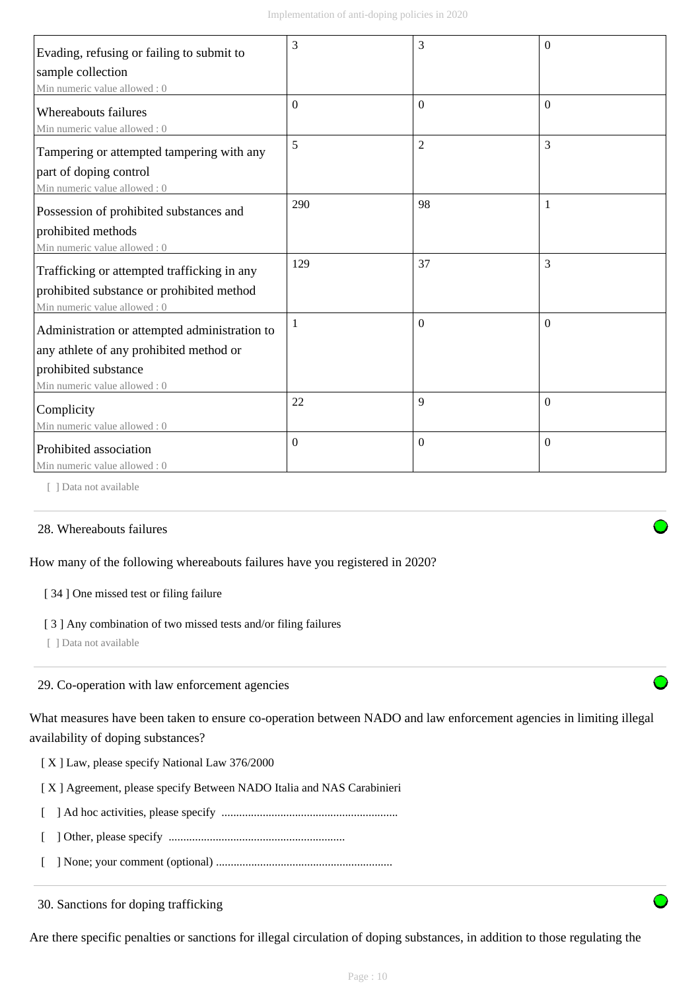| Evading, refusing or failing to submit to                   | 3                | 3              | $\theta$ |
|-------------------------------------------------------------|------------------|----------------|----------|
| sample collection                                           |                  |                |          |
| Min numeric value allowed: 0                                |                  |                |          |
| <b>Whereabouts failures</b><br>Min numeric value allowed: 0 | $\boldsymbol{0}$ | $\mathbf{0}$   | $\theta$ |
| Tampering or attempted tampering with any                   | 5                | $\overline{2}$ | 3        |
| part of doping control                                      |                  |                |          |
| Min numeric value allowed: 0                                |                  |                |          |
| Possession of prohibited substances and                     | 290              | 98             |          |
| prohibited methods                                          |                  |                |          |
| Min numeric value allowed: 0                                |                  |                |          |
| Trafficking or attempted trafficking in any                 | 129              | 37             | 3        |
| prohibited substance or prohibited method                   |                  |                |          |
| Min numeric value allowed: 0                                |                  |                |          |
| Administration or attempted administration to               | 1                | $\Omega$       | $\theta$ |
| any athlete of any prohibited method or                     |                  |                |          |
| prohibited substance                                        |                  |                |          |
| Min numeric value allowed: 0                                |                  |                |          |
| Complicity                                                  | 22               | 9              | $\Omega$ |
| Min numeric value allowed: 0                                |                  |                |          |
| Prohibited association                                      | $\mathbf{0}$     | $\mathbf{0}$   | $\theta$ |
| Min numeric value allowed: 0                                |                  |                |          |

## 28. Whereabouts failures

## How many of the following whereabouts failures have you registered in 2020?

#### [ 34 ] One missed test or filing failure

#### [ 3 ] Any combination of two missed tests and/or filing failures

[ ] Data not available

### 29. Co-operation with law enforcement agencies

What measures have been taken to ensure co-operation between NADO and law enforcement agencies in limiting illegal availability of doping substances?

[ X ] Law, please specify National Law 376/2000

[ X ] Agreement, please specify Between NADO Italia and NAS Carabinieri

- [ ] Ad hoc activities, please specify ............................................................
- [ ] Other, please specify ............................................................
- [ ] None; your comment (optional) ............................................................

30. Sanctions for doping trafficking

Are there specific penalties or sanctions for illegal circulation of doping substances, in addition to those regulating the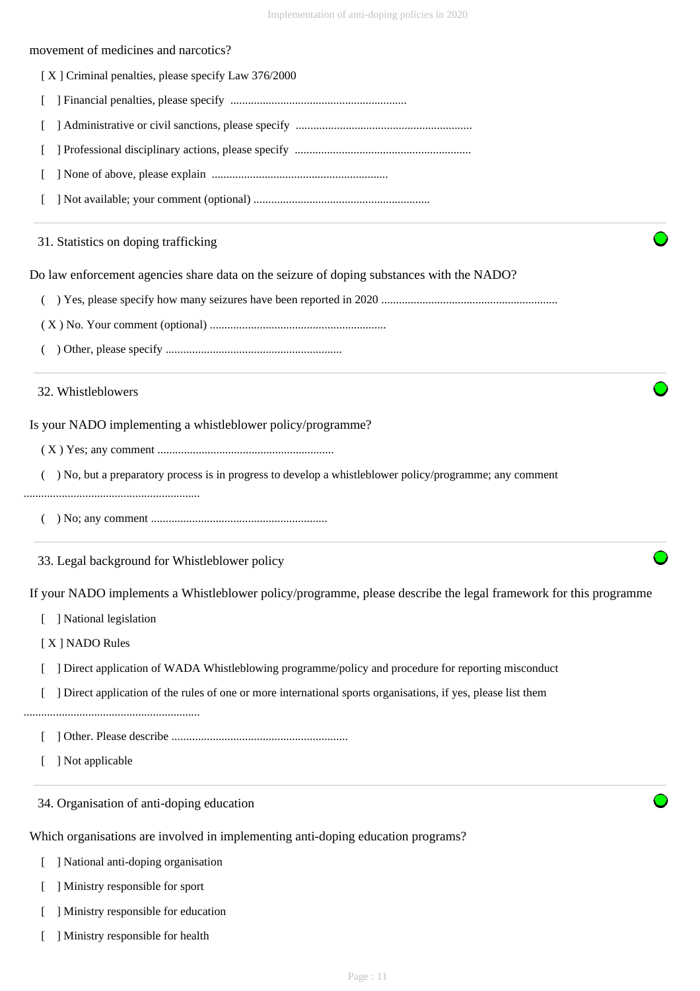#### movement of medicines and narcotics?

[ X ] Criminal penalties, please specify Law 376/2000

- [ ] Financial penalties, please specify ............................................................
- [ ] Administrative or civil sanctions, please specify ............................................................
- [ ] Professional disciplinary actions, please specify ............................................................
- [ ] None of above, please explain ............................................................
- [ ] Not available; your comment (optional) ............................................................

### 31. Statistics on doping trafficking

Do law enforcement agencies share data on the seizure of doping substances with the NADO?

- ( ) Yes, please specify how many seizures have been reported in 2020 ............................................................
- ( X ) No. Your comment (optional) ............................................................
- ( ) Other, please specify ............................................................

### 32. Whistleblowers

Is your NADO implementing a whistleblower policy/programme?

- ( X ) Yes; any comment ............................................................
- ( ) No, but a preparatory process is in progress to develop a whistleblower policy/programme; any comment

#### ............................................................

( ) No; any comment ............................................................

33. Legal background for Whistleblower policy

If your NADO implements a Whistleblower policy/programme, please describe the legal framework for this programme

- [ ] National legislation
- [ X ] NADO Rules
- [ ] Direct application of WADA Whistleblowing programme/policy and procedure for reporting misconduct
- [ ] Direct application of the rules of one or more international sports organisations, if yes, please list them
- ............................................................
	- [ ] Other. Please describe ............................................................
	- [ ] Not applicable

34. Organisation of anti-doping education

Which organisations are involved in implementing anti-doping education programs?

- [ ] National anti-doping organisation
- [ ] Ministry responsible for sport
- [ ] Ministry responsible for education
- [ ] Ministry responsible for health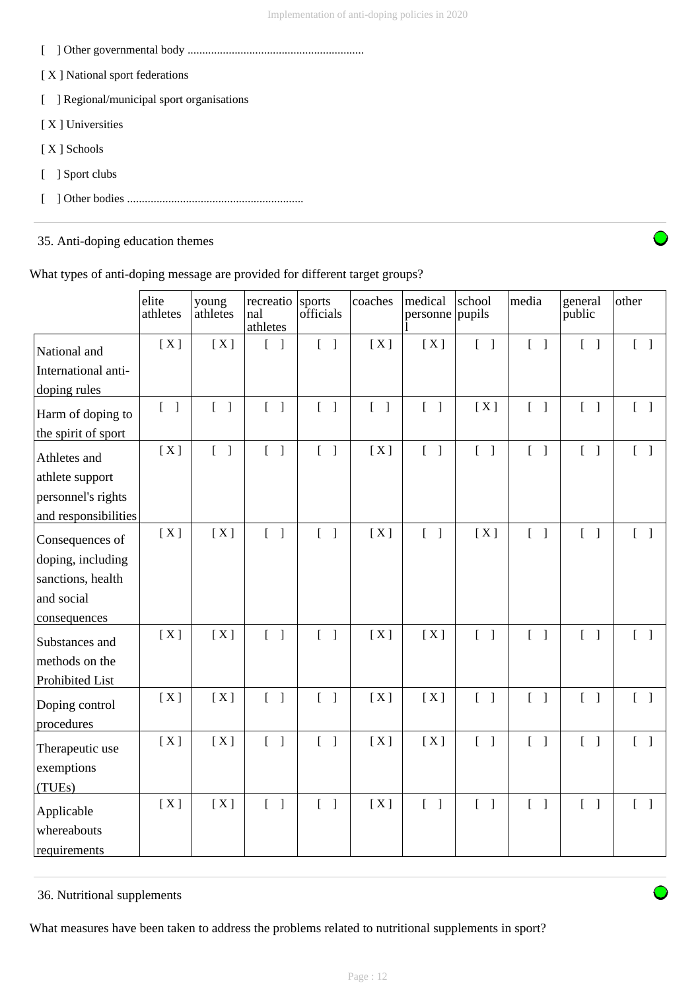- [ ] Other governmental body ............................................................
- [X] National sport federations
- [ ] Regional/municipal sport organisations
- [ X ] Universities
- [ X ] Schools
- [ ] Sport clubs
- [ ] Other bodies ............................................................

## 35. Anti-doping education themes



What types of anti-doping message are provided for different target groups?

|                      | elite<br>athletes                 | young<br>athletes                 | recreatio<br>nal<br>athletes      | sports<br>officials               | coaches                           | medical<br>personne pupils        | school                            | media                             | general<br>public                 | other                             |
|----------------------|-----------------------------------|-----------------------------------|-----------------------------------|-----------------------------------|-----------------------------------|-----------------------------------|-----------------------------------|-----------------------------------|-----------------------------------|-----------------------------------|
| National and         | [X]                               | [X]                               | $\begin{bmatrix} \end{bmatrix}$   | $\begin{bmatrix} 1 \end{bmatrix}$ | [X]                               | [X]                               | $\begin{bmatrix} 1 \end{bmatrix}$ | $\begin{bmatrix} 1 \end{bmatrix}$ | $\begin{bmatrix} 1 \end{bmatrix}$ | $[\ ]$                            |
| International anti-  |                                   |                                   |                                   |                                   |                                   |                                   |                                   |                                   |                                   |                                   |
| doping rules         |                                   |                                   |                                   |                                   |                                   |                                   |                                   |                                   |                                   |                                   |
| Harm of doping to    | $\begin{bmatrix} 1 \end{bmatrix}$ | $\begin{bmatrix} 1 \end{bmatrix}$ | $\begin{bmatrix} 1 \end{bmatrix}$ | $\begin{bmatrix} 1 \end{bmatrix}$ | $\begin{bmatrix} 1 \end{bmatrix}$ | $\begin{bmatrix} 1 \end{bmatrix}$ | [X]                               | $\begin{bmatrix} 1 \end{bmatrix}$ | $\begin{bmatrix} 1 \end{bmatrix}$ | $\begin{bmatrix} 1 \end{bmatrix}$ |
| the spirit of sport  |                                   |                                   |                                   |                                   |                                   |                                   |                                   |                                   |                                   |                                   |
| Athletes and         | [X]                               | $\begin{bmatrix} 1 \end{bmatrix}$ | $\begin{bmatrix} 1 \end{bmatrix}$ | $\begin{bmatrix} 1 \end{bmatrix}$ | [X]                               | $\begin{bmatrix} 1 \end{bmatrix}$ | $\begin{bmatrix} 1 \end{bmatrix}$ | $\begin{bmatrix} 1 \end{bmatrix}$ | $\begin{bmatrix} 1 \end{bmatrix}$ | $\begin{bmatrix} 1 \end{bmatrix}$ |
| athlete support      |                                   |                                   |                                   |                                   |                                   |                                   |                                   |                                   |                                   |                                   |
| personnel's rights   |                                   |                                   |                                   |                                   |                                   |                                   |                                   |                                   |                                   |                                   |
| and responsibilities |                                   |                                   |                                   |                                   |                                   |                                   |                                   |                                   |                                   |                                   |
| Consequences of      | [X]                               | [X]                               | $\begin{bmatrix} 1 \end{bmatrix}$ | $\begin{bmatrix} 1 \end{bmatrix}$ | [X]                               | $\begin{bmatrix} 1 \end{bmatrix}$ | [X]                               | $\begin{bmatrix} 1 \end{bmatrix}$ | $\begin{bmatrix} 1 \end{bmatrix}$ | $[ \ ]$                           |
| doping, including    |                                   |                                   |                                   |                                   |                                   |                                   |                                   |                                   |                                   |                                   |
| sanctions, health    |                                   |                                   |                                   |                                   |                                   |                                   |                                   |                                   |                                   |                                   |
| and social           |                                   |                                   |                                   |                                   |                                   |                                   |                                   |                                   |                                   |                                   |
| consequences         |                                   |                                   |                                   |                                   |                                   |                                   |                                   |                                   |                                   |                                   |
| Substances and       | [X]                               | [X]                               | $\begin{bmatrix} 1 \end{bmatrix}$ | $\begin{bmatrix} 1 \end{bmatrix}$ | [X]                               | [X]                               | $[$ $]$                           | $\mathbb{L}$<br>$\mathbf{I}$      | $\begin{bmatrix} 1 \end{bmatrix}$ | $\begin{bmatrix} 1 \end{bmatrix}$ |
| methods on the       |                                   |                                   |                                   |                                   |                                   |                                   |                                   |                                   |                                   |                                   |
| Prohibited List      |                                   |                                   |                                   |                                   |                                   |                                   |                                   |                                   |                                   |                                   |
| Doping control       | [X]                               | [X]                               | $\begin{bmatrix} 1 \end{bmatrix}$ | $\begin{bmatrix} 1 \end{bmatrix}$ | [X]                               | [X]                               | $\begin{bmatrix} 1 \end{bmatrix}$ | $\begin{bmatrix} 1 \end{bmatrix}$ | $\begin{bmatrix} 1 \end{bmatrix}$ | $\begin{bmatrix} 1 \end{bmatrix}$ |
| procedures           | [X]                               | [X]                               | $\begin{bmatrix} 1 \end{bmatrix}$ | $\begin{bmatrix} 1 \end{bmatrix}$ | [X]                               | [X]                               | $\begin{bmatrix} 1 \end{bmatrix}$ | $\begin{bmatrix} 1 \end{bmatrix}$ | $\begin{bmatrix} 1 \end{bmatrix}$ |                                   |
| Therapeutic use      |                                   |                                   |                                   |                                   |                                   |                                   |                                   |                                   |                                   |                                   |
| exemptions           |                                   |                                   |                                   |                                   |                                   |                                   |                                   |                                   |                                   |                                   |
| (TUEs)               |                                   |                                   |                                   |                                   |                                   |                                   |                                   |                                   |                                   |                                   |
| Applicable           | [X]                               | [X]                               | $\overline{L}$<br>$\overline{1}$  | $\begin{bmatrix} 1 \end{bmatrix}$ | [X]                               | $\begin{bmatrix} 1 \end{bmatrix}$ | $\begin{bmatrix} 1 \end{bmatrix}$ | $\begin{bmatrix} 1 \end{bmatrix}$ | $\begin{bmatrix} 1 \end{bmatrix}$ | $\begin{bmatrix} 1 \end{bmatrix}$ |
| whereabouts          |                                   |                                   |                                   |                                   |                                   |                                   |                                   |                                   |                                   |                                   |
| requirements         |                                   |                                   |                                   |                                   |                                   |                                   |                                   |                                   |                                   |                                   |

## 36. Nutritional supplements

What measures have been taken to address the problems related to nutritional supplements in sport?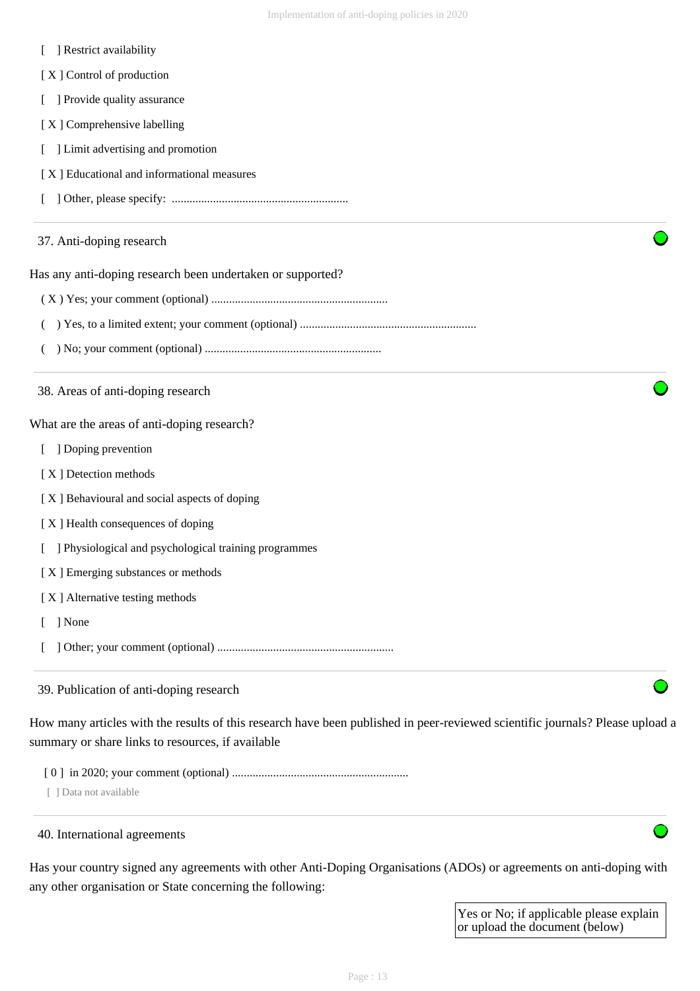|  |  | Restrict availability |
|--|--|-----------------------|
|--|--|-----------------------|

[X] Control of production

[ ] Provide quality assurance

- [X] Comprehensive labelling
- [ ] Limit advertising and promotion
- [ X ] Educational and informational measures
- [ ] Other, please specify: ............................................................

#### 37. Anti-doping research

Has any anti-doping research been undertaken or supported?

- ( X ) Yes; your comment (optional) ............................................................
- ( ) Yes, to a limited extent; your comment (optional) ............................................................
- ( ) No; your comment (optional) ............................................................

38. Areas of anti-doping research

What are the areas of anti-doping research?

- [ ] Doping prevention
- [ X ] Detection methods

[ X ] Behavioural and social aspects of doping

- [ X ] Health consequences of doping
- [ ] Physiological and psychological training programmes

[ X ] Emerging substances or methods

[ X ] Alternative testing methods

[ ] None

[ ] Other; your comment (optional) ............................................................

#### 39. Publication of anti-doping research

How many articles with the results of this research have been published in peer-reviewed scientific journals? Please upload a summary or share links to resources, if available

[ 0 ] in 2020; your comment (optional) ............................................................

[ ] Data not available

#### 40. International agreements

Has your country signed any agreements with other Anti-Doping Organisations (ADOs) or agreements on anti-doping with any other organisation or State concerning the following:

> Yes or No; if applicable please explain or upload the document (below)